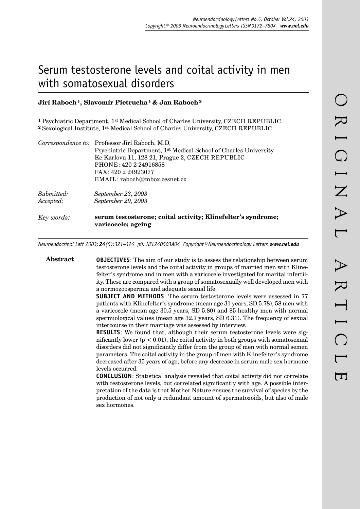# Serum testosterone levels and coital activity in men with somatosexual disorders

## **Jirí Raboch 1, Slavomír Pietrucha 1 & Jan Raboch 2**

**1** Psychiatric Department, 1st Medical School of Charles University, CZECH REPUBLIC. **2** Sexological Institute, 1st Medical School of Charles University, CZECH REPUBLIC.

|            | Correspondence to: Professor Jirí Raboch, M.D.                                     |
|------------|------------------------------------------------------------------------------------|
|            | Psychiatric Department, 1 <sup>st</sup> Medical School of Charles University       |
|            | Ke Karlovu 11, 128 21, Prague 2, CZECH REPUBLIC                                    |
|            | PHONE: 420 2 24916858                                                              |
|            | FAX: 420 2 24923077                                                                |
|            | EMAIL: raboch@mbox.cesnet.cz                                                       |
| Submitted: | September 23, 2003                                                                 |
| Accepted:  | September 29, 2003                                                                 |
| Key words: | serum testosterone; coital activity; Klinefelter's syndrome;<br>varicocele; ageing |

*Neuroendocrinol Lett 2003; 24(5):321–324 pii: NEL240503A04 Copyright © Neuroendocrinology Letters www.nel.edu*

**Abstract OBJECTIVES**: The aim of our study is to assess the relationship between serum testosterone levels and the coital activity in groups of married men with Klinefelter's syndrome and in men with a varicocele investigated for marital infertility. These are compared with a group of somatosexually well developed men with a normozoospermia and adequate sexual life. **SUBJECT AND METHODS**: The serum testosterone levels were assessed in 77 patients with Klinefelter's syndrome (mean age 31 years, SD 5.78), 58 men with a varicocele (mean age 30.5 years, SD 5.80) and 85 healthy men with normal spermiological values (mean age 32.7 years, SD 6.31). The frequency of sexual intercourse in their marriage was assessed by interview. **RESULTS**: We found that, although their serum testosterone levels were significantly lower  $(p < 0.01)$ , the coital activity in both groups with somatosexual disorders did not significantly differ from the group of men with normal semen parameters. The coital activity in the group of men with Klinefelter's syndrome decreased after 35 years of age, before any decrease in serum male sex hormone levels occurred. **CONCLUSION**: Statistical analysis revealed that coital activity did not correlate with testosterone levels, but correlated significantly with age. A possible interpretation of the data is that Mother Nature ensues the survival of species by the production of not only a redundant amount of spermatozoids, but also of male sex hormones.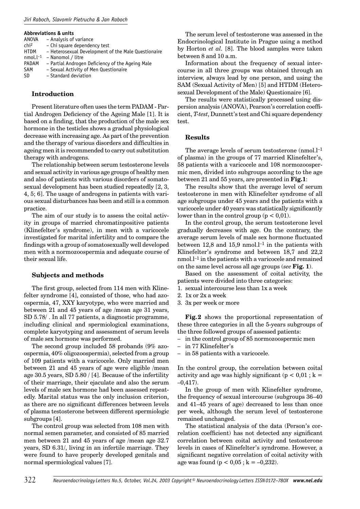#### *Jirí Raboch, Slavomír Pietrucha & Jan Raboch*

#### **Abbreviations & units**

| ANOVA            | - Analysis of variance                              |
|------------------|-----------------------------------------------------|
| chi <sup>2</sup> | - Chi square dependency test                        |
| <b>HTDM</b>      | - Heterosexual Development of the Male Questionaire |
|                  | $nmol.l^{-1}$ – Nanomol / litre                     |
| PADAM            | - Partial Androgen Deficiency of the Ageing Male    |
| SAM              | - Sexual Activity of Men Questionaire               |
| <b>SD</b>        | - Standard deviation                                |

#### **Introduction**

Present literature often uses the term PADAM - Partial Androgen Deficiency of the Ageing Male [1]. It is based on a finding, that the production of the male sex hormone in the testicles shows a gradual physiological decrease with increasing age. As part of the prevention and the therapy of various disorders and difficulties in ageing men it is recommended to carry out substitution therapy with androgens.

The relationship between serum testosterone levels and sexual activity in various age groups of healthy men and also of patients with various disorders of somatosexual development has been studied repeatedly [2, 3, 4, 5; 6]. The usage of androgens in patients with various sexual disturbances has been and still is a common practice.

The aim of our study is to assess the coital activity in groups of married chromatinpositive patients (Klinefelter's syndrome), in men with a varicocele investigated for marital infertility and to compare the findings with a group of somatos exually well developed men with a normozoospermia and adequate course of their sexual life.

#### **Subjects and methods**

The first group, selected from 114 men with Klinefelter syndrome [4], consisted of those, who had azoospermia, 47, XXY karyotype, who were married and between 21 and 45 years of age /mean age 31 years, SD 5.78/ . In all 77 patients, a diagnostic programme, including clinical and spermiological examinations, complete karyotyping and assessment of serum levels of male sex hormone was performed.

The second group included 58 probands (9% azoospermia, 40% oligozoospermia), selected from a group of 109 patients with a varicocele. Only married men between 21 and 45 years of age were eligible /mean age 30.5 years, SD 5.80 / [4]. Because of the infertility of their marriage, their ejaculate and also the serum levels of male sex hormone had been assessed repeatedly. Marital status was the only inclusion criterion, as there are no significant differences between levels of plasma testosterone between different spermiologic subgroups [4].

The control group was selected from 108 men with normal semen parameter, and consisted of 85 married men between 21 and 45 years of age /mean age 32.7 years, SD 6.31/, living in an infertile marriage. They were found to have properly developed genitals and normal spermiological values [7].

The serum level of testosterone was assessed in the Endocrinological Institute in Prague using a method by Horton *et al.* [8]. The blood samples were taken between 8 and 10 a.m.

Information about the frequency of sexual intercourse in all three groups was obtained through an interview, always lead by one person, and using the SAM (Sexual Activity of Men) [5] and HTDM (Heterosexual Development of the Male) Questionaire [6].

The results were statistically processed using dispersion analysis (ANOVA), Pearson's correlation coefficient, *T-test*, Dunnett's test and Chi square dependency test.

## **Results**

The average levels of serum testosterone (nmol.<sup>1-1</sup>) of plasma) in the groups of 77 married Klinefelter's, 58 patients with a varicocele and 108 normozoospermic men, divided into subgroups according to the age between 21 and 55 years, are presented in **Fig.1**:

The results show that the average level of serum testosterone in men with Klinefelter syndrome of all age subgroups under 45 years and the patients with a varicocele under 40 years was statistically significantly lower than in the control group ( $p < 0.01$ ).

In the control group, the serum testosterone level gradually decreases with age. On the contrary, the average serum levels of male sex hormone fluctuated between  $12.8$  and  $15.9$  nmol.<sup>1-1</sup> in the patients with Klinefelter's syndrome and between 18,7 and 22,2 nmol.l–1 in the patients with a varicocele and remained on the same level across all age groups (*see* **Fig. 1**).

Based on the assessment of coital activity, the patients were divided into three categories:

1. sexual intercourse less than 1x a week

- 2. 1x or 2x a week
- 3. 3x per week or more

**Fig. 2** shows the proportional representation of these three categories in all the 5-years subgroups of the three followed groups of assessed patients:

– in the control group of 85 normozoospermic men

- in 77 Klinefelter's
- in 58 patients with a varicocele.

In the control group, the correlation between coital activity and age was highly significant ( $p < 0.01$ ; k =  $-0.417$ ).

In the group of men with Klinefelter syndrome, the frequency of sexual intercourse (subgroups 36–40 and 41–45 years of age) decreased to less than once per week, although the serum level of testosterone remained unchanged.

The statistical analysis of the data (Person's correlation coefficient) has not detected any significant correlation between coital activity and testosterone levels in cases of Klinefelter's syndrome. However, a significant negative correlation of coital activity with age was found ( $p < 0.05$ ;  $k = -0.232$ ).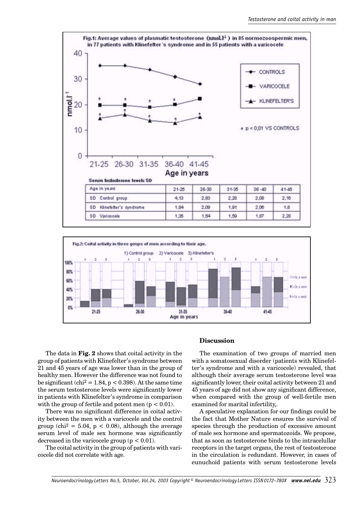



The data in **Fig. 2** shows that coital activity in the group of patients with Klinefelter's syndrome between 21 and 45 years of age was lower than in the group of healthy men. However the difference was not found to be significant (chi<sup>2</sup> = 1.84, p < 0.398). At the same time the serum testosterone levels were significantly lower in patients with Klinefelter's syndrome in comparison with the group of fertile and potent men  $(p < 0.01)$ .

There was no significant difference in coital activity between the men with a varicocele and the control group (chi<sup>2</sup> = 5.04, p < 0.08), although the average serum level of male sex hormone was significantly decreased in the varicocele group  $(p < 0.01)$ .

The coital activity in the group of patients with varicocele did not correlate with age.

### **Discussion**

The examination of two groups of married men with a somatosexual disorder (patients with Klinefelter's syndrome and with a varicocele) revealed, that although their average serum testosterone level was significantly lower, their coital activity between 21 and 45 years of age did not show any significant difference, when compared with the group of well-fertile men examined for marital infertility,.

A speculative explanation for our findings could be the fact that Mother Nature ensures the survival of species through the production of excessive amount of male sex hormone and spermatozoids. We propose, that as soon as testosterone binds to the intracelullar receptors in the target organs, the rest of testosterone in the circulation is redundant. However, in cases of eunuchoid patients with serum testosterone levels